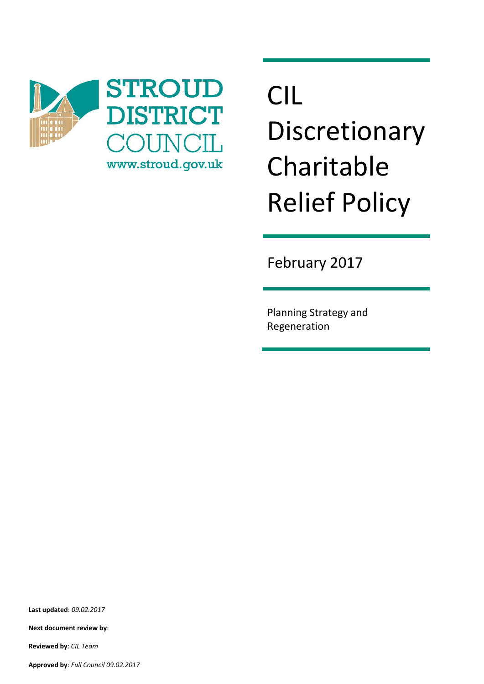

# CIL Discretionary Charitable Relief Policy

February 2017

Planning Strategy and Regeneration

**Last updated**: *09.02.2017*

**Next document review by**:

**Reviewed by**: *CIL Team*

**Approved by**: *Full Council 09.02.2017*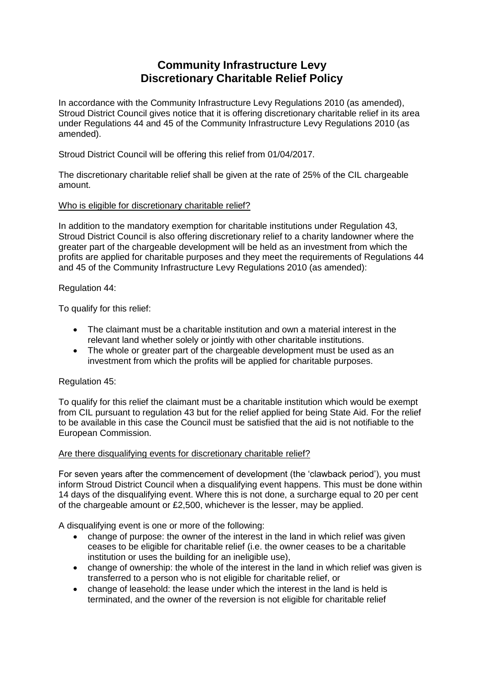## **Community Infrastructure Levy Discretionary Charitable Relief Policy**

In accordance with the Community Infrastructure Levy Regulations 2010 (as amended), Stroud District Council gives notice that it is offering discretionary charitable relief in its area under Regulations 44 and 45 of the Community Infrastructure Levy Regulations 2010 (as amended).

Stroud District Council will be offering this relief from 01/04/2017.

The discretionary charitable relief shall be given at the rate of 25% of the CIL chargeable amount.

#### Who is eligible for discretionary charitable relief?

In addition to the mandatory exemption for charitable institutions under Regulation 43, Stroud District Council is also offering discretionary relief to a charity landowner where the greater part of the chargeable development will be held as an investment from which the profits are applied for charitable purposes and they meet the requirements of Regulations 44 and 45 of the Community Infrastructure Levy Regulations 2010 (as amended):

#### Regulation 44:

To qualify for this relief:

- The claimant must be a charitable institution and own a material interest in the relevant land whether solely or jointly with other charitable institutions.
- The whole or greater part of the chargeable development must be used as an investment from which the profits will be applied for charitable purposes.

### Regulation 45:

To qualify for this relief the claimant must be a charitable institution which would be exempt from CIL pursuant to regulation 43 but for the relief applied for being State Aid. For the relief to be available in this case the Council must be satisfied that the aid is not notifiable to the European Commission.

#### Are there disqualifying events for discretionary charitable relief?

For seven years after the commencement of development (the 'clawback period'), you must inform Stroud District Council when a disqualifying event happens. This must be done within 14 days of the disqualifying event. Where this is not done, a surcharge equal to 20 per cent of the chargeable amount or £2,500, whichever is the lesser, may be applied.

A disqualifying event is one or more of the following:

- change of purpose: the owner of the interest in the land in which relief was given ceases to be eligible for charitable relief (i.e. the owner ceases to be a charitable institution or uses the building for an ineligible use),
- change of ownership: the whole of the interest in the land in which relief was given is transferred to a person who is not eligible for charitable relief, or
- change of leasehold: the lease under which the interest in the land is held is terminated, and the owner of the reversion is not eligible for charitable relief